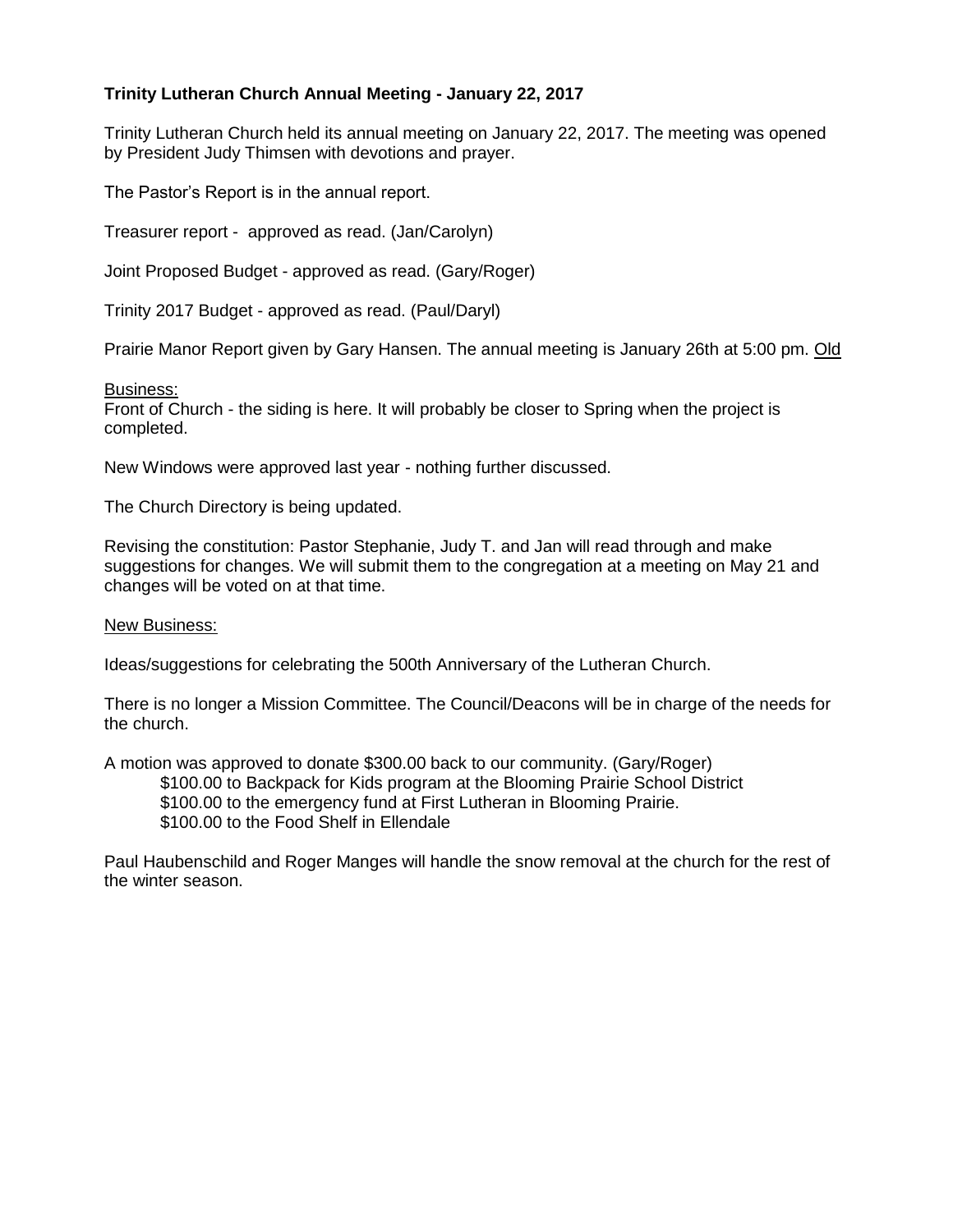## **Trinity Lutheran Church Annual Meeting - January 22, 2017**

Trinity Lutheran Church held its annual meeting on January 22, 2017. The meeting was opened by President Judy Thimsen with devotions and prayer.

The Pastor's Report is in the annual report.

Treasurer report - approved as read. (Jan/Carolyn)

Joint Proposed Budget - approved as read. (Gary/Roger)

Trinity 2017 Budget - approved as read. (Paul/Daryl)

Prairie Manor Report given by Gary Hansen. The annual meeting is January 26th at 5:00 pm. Old

## Business:

Front of Church - the siding is here. It will probably be closer to Spring when the project is completed.

New Windows were approved last year - nothing further discussed.

The Church Directory is being updated.

Revising the constitution: Pastor Stephanie, Judy T. and Jan will read through and make suggestions for changes. We will submit them to the congregation at a meeting on May 21 and changes will be voted on at that time.

New Business:

Ideas/suggestions for celebrating the 500th Anniversary of the Lutheran Church.

There is no longer a Mission Committee. The Council/Deacons will be in charge of the needs for the church.

A motion was approved to donate \$300.00 back to our community. (Gary/Roger) \$100.00 to Backpack for Kids program at the Blooming Prairie School District \$100.00 to the emergency fund at First Lutheran in Blooming Prairie. \$100.00 to the Food Shelf in Ellendale

Paul Haubenschild and Roger Manges will handle the snow removal at the church for the rest of the winter season.